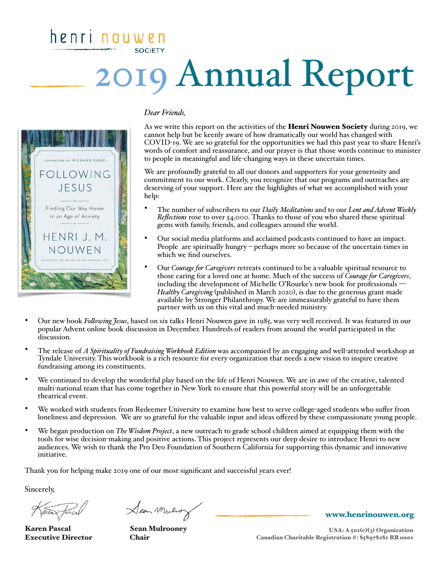## henri nouwer **SOCIETY** 2019 Annual Report



## *Dear Friends,*

As we write this report on the activities of the **Henri Nouwen Society** during 2019, we cannot help but be keenly aware of how dramatically our world has changed with COVID-19. We are so grateful for the opportunities we had this past year to share Henri's words of comfort and reassurance, and our prayer is that those words continue to minister to people in meaningful and life-changing ways in these uncertain times.

We are profoundly grateful to all our donors and supporters for your generosity and commitment to our work. Clearly, you recognize that our programs and outreaches are deserving of your support. Here are the highlights of what we accomplished with your help:

- The number of subscribers to our *Daily Meditations* and to our *Lent and Advent Weekly Reflections* rose to over 54,000. Thanks to those of you who shared these spiritual gems with family, friends, and colleagues around the world.
- Our social media platforms and acclaimed podcasts continued to have an impact. People are spiritually hungry – perhaps more so because of the uncertain times in which we find ourselves.
- Our *Courage for Caregivers* retreats continued to be a valuable spiritual resource to those caring for a loved one at home. Much of the success of *Courage for Caregivers*, including the development of Michelle O'Rourke's new book for professionals -*Healthy Caregiving* (published in March 2020), is due to the generous grant made available by Stronger Philanthropy. We are immeasurably grateful to have them partner with us on this vital and much-needed ministry.
- Our new book *Folowing Jesus*, based on six talks Henri Nouwen gave in 1985, was very well received. It was featured in our popular Advent online book discussion in December. Hundreds of readers from around the world participated in the discussion.
- The release of *A Spirituality of Fundraising Workbook Edition* was accompanied by an engaging and well-attended workshop at Tyndale University. This workbook is a rich resource for every organization that needs a new vision to inspire creative fundraising among its constituents.
- We continued to develop the wonderful play based on the life of Henri Nouwen. We are in awe of the creative, talented multi-national team that has come together in New York to ensure that this powerful story will be an unforgettable theatrical event.
- We worked with students from Redeemer University to examine how best to serve college-aged students who suffer from loneliness and depression. We are so grateful for the valuable input and ideas offered by these compassionate young people.
- We began production on *The Wisdom Project*, a new outreach to grade school children aimed at equipping them with the tools for wise decision-making and positive actions. This project represents our deep desire to introduce Henri to new audiences. We wish to thank the Pro Deo Foundation of Southern California for supporting this dynamic and innovative initiative.

Thank you for helping make 2019 one of our most significant and successful years ever!

Sincerely,

Karen Pascal Sean Mulrooney Executive Director Chair

Sean Mules

[www.henrinouwen.org](http://www.henrinouwen.org)

USA: A 501(c)(3) Organization Canadian Charitable Registration #: 858978281 RR 0001